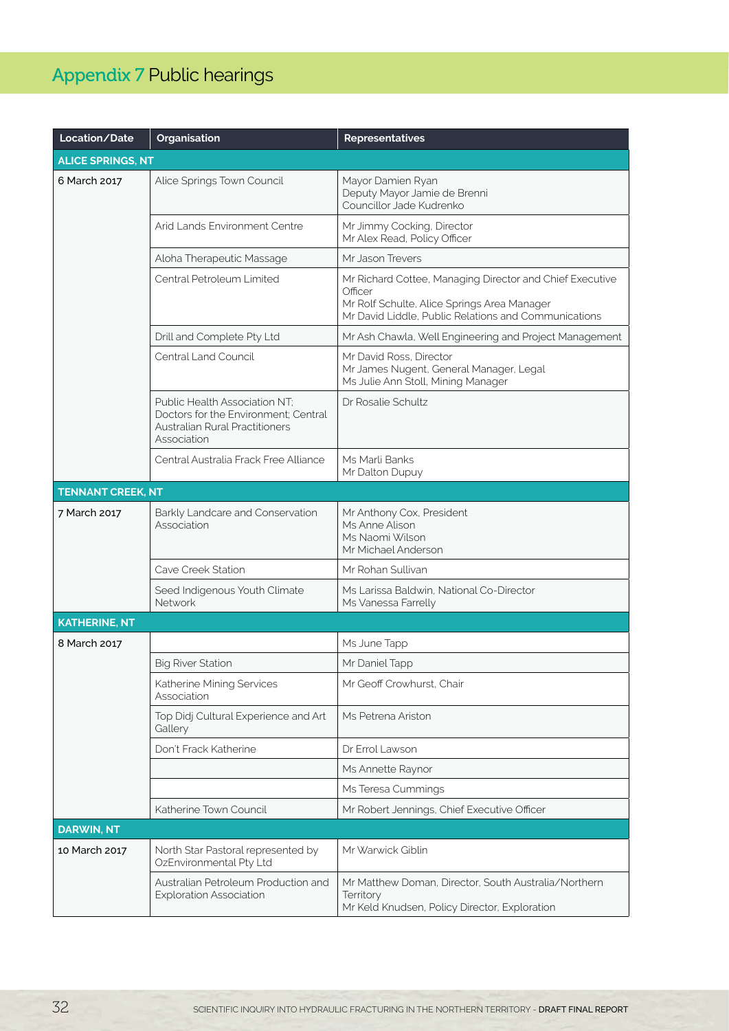## Appendix 7 Public hearings

| Location/Date            | Organisation                                                                                                           | <b>Representatives</b>                                                                                                                                                     |
|--------------------------|------------------------------------------------------------------------------------------------------------------------|----------------------------------------------------------------------------------------------------------------------------------------------------------------------------|
| <b>ALICE SPRINGS, NT</b> |                                                                                                                        |                                                                                                                                                                            |
| 6 March 2017             | Alice Springs Town Council                                                                                             | Mayor Damien Ryan<br>Deputy Mayor Jamie de Brenni<br>Councillor Jade Kudrenko                                                                                              |
|                          | Arid Lands Environment Centre                                                                                          | Mr Jimmy Cocking, Director<br>Mr Alex Read, Policy Officer                                                                                                                 |
|                          | Aloha Therapeutic Massage                                                                                              | Mr. Jason Trevers                                                                                                                                                          |
|                          | Central Petroleum Limited                                                                                              | Mr Richard Cottee, Managing Director and Chief Executive<br>Officer<br>Mr Rolf Schulte, Alice Springs Area Manager<br>Mr David Liddle, Public Relations and Communications |
|                          | Drill and Complete Pty Ltd                                                                                             | Mr Ash Chawla, Well Engineering and Project Management                                                                                                                     |
|                          | Central Land Council                                                                                                   | Mr David Ross, Director<br>Mr James Nugent, General Manager, Legal<br>Ms Julie Ann Stoll, Mining Manager                                                                   |
|                          | Public Health Association NT;<br>Doctors for the Environment: Central<br>Australian Rural Practitioners<br>Association | Dr Rosalie Schultz                                                                                                                                                         |
|                          | Central Australia Frack Free Alliance                                                                                  | Ms Marli Banks<br>Mr Dalton Dupuy                                                                                                                                          |
| <b>TENNANT CREEK, NT</b> |                                                                                                                        |                                                                                                                                                                            |
| 7 March 2017             | Barkly Landcare and Conservation<br>Association                                                                        | Mr Anthony Cox, President<br>Ms Anne Alison<br>Ms Naomi Wilson<br>Mr Michael Anderson                                                                                      |
|                          | Cave Creek Station                                                                                                     | Mr Rohan Sullivan                                                                                                                                                          |
|                          | Seed Indigenous Youth Climate<br>Network                                                                               | Ms Larissa Baldwin, National Co-Director<br>Ms Vanessa Farrelly                                                                                                            |
| <b>KATHERINE, NT</b>     |                                                                                                                        |                                                                                                                                                                            |
| 8 March 2017             |                                                                                                                        | Ms June Tapp                                                                                                                                                               |
|                          | <b>Big River Station</b>                                                                                               | Mr Daniel Tapp                                                                                                                                                             |
|                          | Katherine Mining Services<br>Association                                                                               | Mr Geoff Crowhurst, Chair                                                                                                                                                  |
|                          | Top Didj Cultural Experience and Art<br>Gallery                                                                        | Ms Petrena Ariston                                                                                                                                                         |
|                          | Don't Frack Katherine                                                                                                  | Dr Errol Lawson                                                                                                                                                            |
|                          |                                                                                                                        | Ms Annette Raynor                                                                                                                                                          |
|                          |                                                                                                                        | Ms Teresa Cummings                                                                                                                                                         |
|                          | Katherine Town Council                                                                                                 | Mr Robert Jennings, Chief Executive Officer                                                                                                                                |
| <b>DARWIN, NT</b>        |                                                                                                                        |                                                                                                                                                                            |
| 10 March 2017            | North Star Pastoral represented by<br>OzEnvironmental Pty Ltd                                                          | Mr Warwick Giblin                                                                                                                                                          |
|                          | Australian Petroleum Production and<br><b>Exploration Association</b>                                                  | Mr Matthew Doman, Director, South Australia/Northern<br>Territory<br>Mr Keld Knudsen, Policy Director, Exploration                                                         |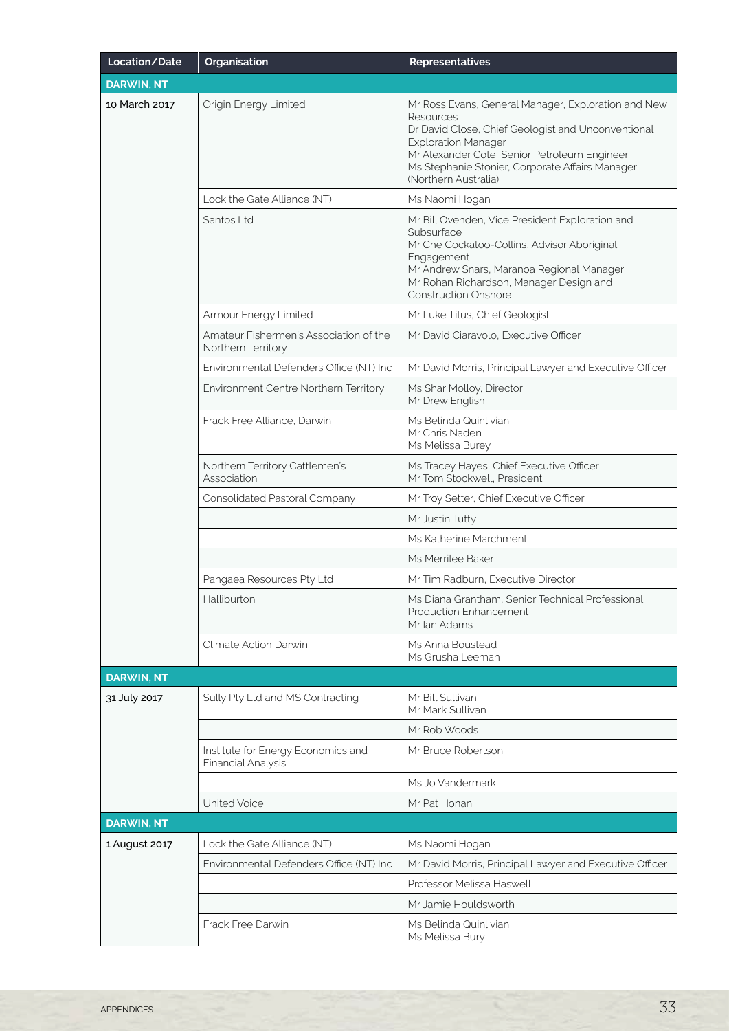| Location/Date     | Organisation                                                 | <b>Representatives</b>                                                                                                                                                                                                                                                          |
|-------------------|--------------------------------------------------------------|---------------------------------------------------------------------------------------------------------------------------------------------------------------------------------------------------------------------------------------------------------------------------------|
| <b>DARWIN, NT</b> |                                                              |                                                                                                                                                                                                                                                                                 |
| 10 March 2017     | Origin Energy Limited                                        | Mr Ross Evans, General Manager, Exploration and New<br>Resources<br>Dr David Close, Chief Geologist and Unconventional<br><b>Exploration Manager</b><br>Mr Alexander Cote, Senior Petroleum Engineer<br>Ms Stephanie Stonier, Corporate Affairs Manager<br>(Northern Australia) |
|                   | Lock the Gate Alliance (NT)                                  | Ms Naomi Hogan                                                                                                                                                                                                                                                                  |
|                   | Santos Ltd                                                   | Mr Bill Ovenden, Vice President Exploration and<br>Subsurface<br>Mr Che Cockatoo-Collins, Advisor Aboriginal<br>Engagement<br>Mr Andrew Snars, Maranoa Regional Manager<br>Mr Rohan Richardson, Manager Design and<br><b>Construction Onshore</b>                               |
|                   | Armour Energy Limited                                        | Mr Luke Titus, Chief Geologist                                                                                                                                                                                                                                                  |
|                   | Amateur Fishermen's Association of the<br>Northern Territory | Mr David Ciaravolo, Executive Officer                                                                                                                                                                                                                                           |
|                   | Environmental Defenders Office (NT) Inc                      | Mr David Morris, Principal Lawyer and Executive Officer                                                                                                                                                                                                                         |
|                   | Environment Centre Northern Territory                        | Ms Shar Molloy, Director<br>Mr Drew English                                                                                                                                                                                                                                     |
|                   | Frack Free Alliance, Darwin                                  | Ms Belinda Quinlivian<br>Mr Chris Naden<br>Ms Melissa Burey                                                                                                                                                                                                                     |
|                   | Northern Territory Cattlemen's<br>Association                | Ms Tracey Hayes, Chief Executive Officer<br>Mr Tom Stockwell, President                                                                                                                                                                                                         |
|                   | Consolidated Pastoral Company                                | Mr Troy Setter, Chief Executive Officer                                                                                                                                                                                                                                         |
|                   |                                                              | Mr Justin Tutty                                                                                                                                                                                                                                                                 |
|                   |                                                              | Ms Katherine Marchment                                                                                                                                                                                                                                                          |
|                   |                                                              | Ms Merrilee Baker                                                                                                                                                                                                                                                               |
|                   | Pangaea Resources Pty Ltd                                    | Mr Tim Radburn, Executive Director                                                                                                                                                                                                                                              |
|                   | Halliburton                                                  | Ms Diana Grantham, Senior Technical Professional<br>Production Enhancement<br>Mr Ian Adams                                                                                                                                                                                      |
|                   | Climate Action Darwin                                        | Ms Anna Boustead<br>Ms Grusha Leeman                                                                                                                                                                                                                                            |
| <b>DARWIN, NT</b> |                                                              |                                                                                                                                                                                                                                                                                 |
| 31 July 2017      | Sully Pty Ltd and MS Contracting                             | Mr Bill Sullivan<br>Mr Mark Sullivan                                                                                                                                                                                                                                            |
|                   |                                                              | Mr Rob Woods                                                                                                                                                                                                                                                                    |
|                   | Institute for Energy Economics and<br>Financial Analysis     | Mr Bruce Robertson                                                                                                                                                                                                                                                              |
|                   |                                                              | Ms Jo Vandermark                                                                                                                                                                                                                                                                |
|                   | United Voice                                                 | Mr Pat Honan                                                                                                                                                                                                                                                                    |
| <b>DARWIN, NT</b> |                                                              |                                                                                                                                                                                                                                                                                 |
| 1 August 2017     | Lock the Gate Alliance (NT)                                  | Ms Naomi Hogan                                                                                                                                                                                                                                                                  |
|                   | Environmental Defenders Office (NT) Inc                      | Mr David Morris, Principal Lawyer and Executive Officer                                                                                                                                                                                                                         |
|                   |                                                              | Professor Melissa Haswell                                                                                                                                                                                                                                                       |
|                   |                                                              | Mr Jamie Houldsworth                                                                                                                                                                                                                                                            |
|                   | Frack Free Darwin                                            | Ms Belinda Quinlivian<br>Ms Melissa Bury                                                                                                                                                                                                                                        |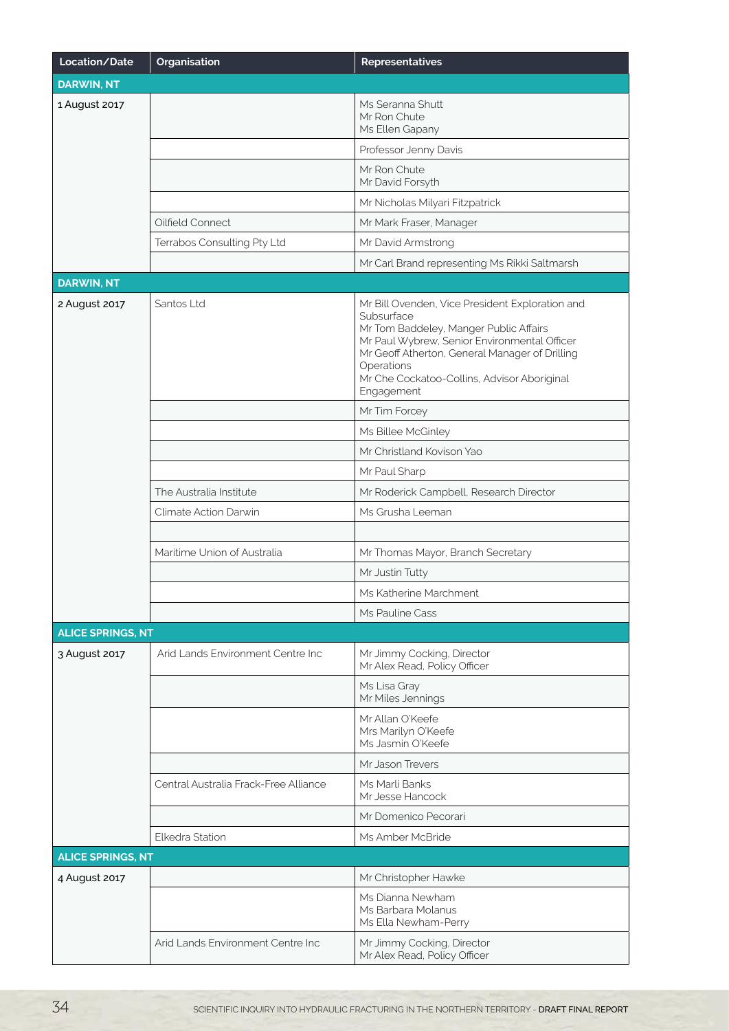| Location/Date            | Organisation                          | <b>Representatives</b>                                                                                                                                                                                                                                                               |  |  |
|--------------------------|---------------------------------------|--------------------------------------------------------------------------------------------------------------------------------------------------------------------------------------------------------------------------------------------------------------------------------------|--|--|
| <b>DARWIN, NT</b>        |                                       |                                                                                                                                                                                                                                                                                      |  |  |
| 1 August 2017            |                                       | Ms Seranna Shutt<br>Mr Ron Chute<br>Ms Ellen Gapany                                                                                                                                                                                                                                  |  |  |
|                          |                                       | Professor Jenny Davis                                                                                                                                                                                                                                                                |  |  |
|                          |                                       | Mr Ron Chute<br>Mr David Forsyth                                                                                                                                                                                                                                                     |  |  |
|                          |                                       | Mr Nicholas Milyari Fitzpatrick                                                                                                                                                                                                                                                      |  |  |
|                          | Oilfield Connect                      | Mr Mark Fraser, Manager                                                                                                                                                                                                                                                              |  |  |
|                          | Terrabos Consulting Pty Ltd           | Mr David Armstrong                                                                                                                                                                                                                                                                   |  |  |
|                          |                                       | Mr Carl Brand representing Ms Rikki Saltmarsh                                                                                                                                                                                                                                        |  |  |
| <b>DARWIN, NT</b>        |                                       |                                                                                                                                                                                                                                                                                      |  |  |
| 2 August 2017            | Santos Ltd                            | Mr Bill Ovenden, Vice President Exploration and<br>Subsurface<br>Mr Tom Baddeley, Manger Public Affairs<br>Mr Paul Wybrew, Senior Environmental Officer<br>Mr Geoff Atherton, General Manager of Drilling<br>Operations<br>Mr Che Cockatoo-Collins, Advisor Aboriginal<br>Engagement |  |  |
|                          |                                       | Mr Tim Forcey                                                                                                                                                                                                                                                                        |  |  |
|                          |                                       | Ms Billee McGinley                                                                                                                                                                                                                                                                   |  |  |
|                          |                                       | Mr Christland Kovison Yao                                                                                                                                                                                                                                                            |  |  |
|                          |                                       | Mr Paul Sharp                                                                                                                                                                                                                                                                        |  |  |
|                          | The Australia Institute               | Mr Roderick Campbell, Research Director                                                                                                                                                                                                                                              |  |  |
|                          | Climate Action Darwin                 | Ms Grusha Leeman                                                                                                                                                                                                                                                                     |  |  |
|                          |                                       |                                                                                                                                                                                                                                                                                      |  |  |
|                          | Maritime Union of Australia           | Mr Thomas Mayor, Branch Secretary                                                                                                                                                                                                                                                    |  |  |
|                          |                                       | Mr Justin Tutty                                                                                                                                                                                                                                                                      |  |  |
|                          |                                       | Ms Katherine Marchment                                                                                                                                                                                                                                                               |  |  |
|                          |                                       | Ms Pauline Cass                                                                                                                                                                                                                                                                      |  |  |
| <b>ALICE SPRINGS, NT</b> |                                       |                                                                                                                                                                                                                                                                                      |  |  |
| 3 August 2017            | Arid Lands Environment Centre Inc     | Mr Jimmy Cocking, Director<br>Mr Alex Read, Policy Officer                                                                                                                                                                                                                           |  |  |
|                          |                                       | Ms Lisa Gray<br>Mr Miles Jennings                                                                                                                                                                                                                                                    |  |  |
|                          |                                       | Mr Allan O'Keefe<br>Mrs Marilyn O'Keefe<br>Ms Jasmin O'Keefe                                                                                                                                                                                                                         |  |  |
|                          |                                       | Mr Jason Trevers                                                                                                                                                                                                                                                                     |  |  |
|                          | Central Australia Frack-Free Alliance | Ms Marli Banks<br>Mr Jesse Hancock                                                                                                                                                                                                                                                   |  |  |
|                          |                                       | Mr Domenico Pecorari                                                                                                                                                                                                                                                                 |  |  |
|                          | Elkedra Station                       | Ms Amber McBride                                                                                                                                                                                                                                                                     |  |  |
| <b>ALICE SPRINGS, NT</b> |                                       |                                                                                                                                                                                                                                                                                      |  |  |
| 4 August 2017            |                                       | Mr Christopher Hawke                                                                                                                                                                                                                                                                 |  |  |
|                          |                                       | Ms Dianna Newham<br>Ms Barbara Molanus<br>Ms Ella Newham-Perry                                                                                                                                                                                                                       |  |  |
|                          | Arid Lands Environment Centre Inc     | Mr Jimmy Cocking, Director<br>Mr Alex Read, Policy Officer                                                                                                                                                                                                                           |  |  |